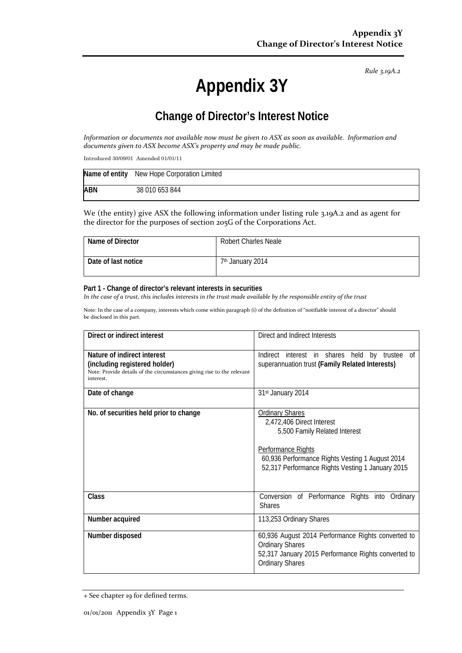*Rule 3.19A.2*

# **Appendix 3Y**

## **Change of Director's Interest Notice**

*Information or documents not available now must be given to ASX as soon as available. Information and documents given to ASX become ASX's property and may be made public.*

Introduced 30/09/01 Amended 01/01/11

|            | Name of entity New Hope Corporation Limited |
|------------|---------------------------------------------|
| <b>ABN</b> | 38 010 653 844                              |

We (the entity) give ASX the following information under listing rule 3.19A.2 and as agent for the director for the purposes of section 205G of the Corporations Act.

| Name of Director    | <b>Robert Charles Neale</b>  |
|---------------------|------------------------------|
| Date of last notice | 7 <sup>th</sup> January 2014 |

#### **Part 1 - Change of director's relevant interests in securities**

*In the case of a trust, this includes interests in the trust made available by the responsible entity of the trust*

Note: In the case of a company, interests which come within paragraph (i) of the definition of "notifiable interest of a director" should be disclosed in this part.

| Direct or indirect interest                                                                                                                         | Direct and Indirect Interests                                                                                                                                                                                     |  |
|-----------------------------------------------------------------------------------------------------------------------------------------------------|-------------------------------------------------------------------------------------------------------------------------------------------------------------------------------------------------------------------|--|
| Nature of indirect interest<br>(including registered holder)<br>Note: Provide details of the circumstances giving rise to the relevant<br>interest. | Indirect interest in shares held<br>by trustee of<br>superannuation trust (Family Related Interests)                                                                                                              |  |
| Date of change                                                                                                                                      | 31st January 2014                                                                                                                                                                                                 |  |
| No. of securities held prior to change                                                                                                              | <b>Ordinary Shares</b><br>2,472,406 Direct Interest<br>5,500 Family Related Interest<br>Performance Rights<br>60,936 Performance Rights Vesting 1 August 2014<br>52,317 Performance Rights Vesting 1 January 2015 |  |
| Class                                                                                                                                               | Conversion of Performance Rights into<br>Ordinary<br><b>Shares</b>                                                                                                                                                |  |
| Number acquired                                                                                                                                     | 113,253 Ordinary Shares                                                                                                                                                                                           |  |
| Number disposed                                                                                                                                     | 60,936 August 2014 Performance Rights converted to<br><b>Ordinary Shares</b><br>52,317 January 2015 Performance Rights converted to<br><b>Ordinary Shares</b>                                                     |  |

<sup>+</sup> See chapter 19 for defined terms.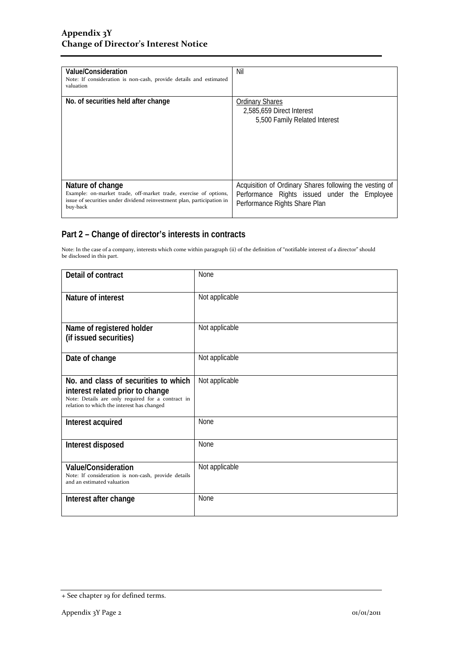| Value/Consideration<br>Note: If consideration is non-cash, provide details and estimated<br>valuation                                                                      | Nil                                                                                                                                      |
|----------------------------------------------------------------------------------------------------------------------------------------------------------------------------|------------------------------------------------------------------------------------------------------------------------------------------|
| No. of securities held after change                                                                                                                                        | <b>Ordinary Shares</b><br>2,585,659 Direct Interest<br>5,500 Family Related Interest                                                     |
| Nature of change<br>Example: on-market trade, off-market trade, exercise of options,<br>issue of securities under dividend reinvestment plan, participation in<br>buy-back | Acquisition of Ordinary Shares following the vesting of<br>Performance Rights issued under the Employee<br>Performance Rights Share Plan |

### **Part 2 – Change of director's interests in contracts**

Note: In the case of a company, interests which come within paragraph (ii) of the definition of "notifiable interest of a director" should be disclosed in this part.

| Detail of contract                                                                                                                                                          | None           |
|-----------------------------------------------------------------------------------------------------------------------------------------------------------------------------|----------------|
| Nature of interest                                                                                                                                                          | Not applicable |
| Name of registered holder<br>(if issued securities)                                                                                                                         | Not applicable |
| Date of change                                                                                                                                                              | Not applicable |
| No. and class of securities to which<br>interest related prior to change<br>Note: Details are only required for a contract in<br>relation to which the interest has changed | Not applicable |
| Interest acquired                                                                                                                                                           | <b>None</b>    |
| Interest disposed                                                                                                                                                           | <b>None</b>    |
| <b>Value/Consideration</b><br>Note: If consideration is non-cash, provide details<br>and an estimated valuation                                                             | Not applicable |
| Interest after change                                                                                                                                                       | <b>None</b>    |

<sup>+</sup> See chapter 19 for defined terms.